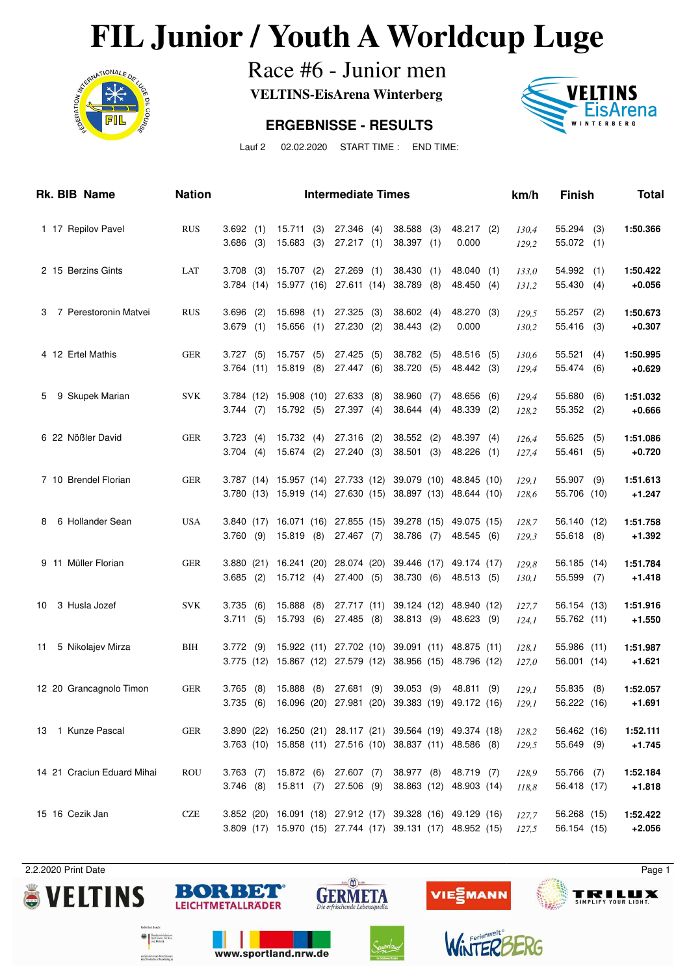# **FIL Junior / Youth A Worldcup Luge**<br>Race #6 - Junior men<br>VELTINS-EisArena Winterberg



Race #6 - Junior men

**VELTINS-EisArena Winterberg**

### **ERGEBNISSE - RESULTS**



Lauf 2 02.02.2020 START TIME : END TIME:

|    | Rk. BIB Name               | <b>Nation</b> |                                                                                                                          |                                                               |            | <b>Intermediate Times</b>              |            |                           |            |                                                  |            | km/h           | <b>Finish</b>              |            | <b>Total</b>         |
|----|----------------------------|---------------|--------------------------------------------------------------------------------------------------------------------------|---------------------------------------------------------------|------------|----------------------------------------|------------|---------------------------|------------|--------------------------------------------------|------------|----------------|----------------------------|------------|----------------------|
|    | 1 17 Repilov Pavel         | <b>RUS</b>    | 3.692<br>(1)<br>3.686<br>(3)                                                                                             | 15.711<br>15.683                                              | (3)<br>(3) | 27.346(4)<br>27.217(1)                 |            | 38.588<br>38.397          | (3)<br>(1) | 48.217 (2)<br>0.000                              |            | 130,4<br>129,2 | 55.294<br>55.072           | (3)<br>(1) | 1:50.366             |
|    | 2 15 Berzins Gints         | LAT           | 3.708<br>(3)<br>3.784 (14)                                                                                               | 15.707<br>15.977 (16)                                         | (2)        | 27.269<br>27.611 (14)                  | (1)        | 38.430<br>38.789          | (1)<br>(8) | 48.040 (1)<br>48.450                             | (4)        | 133,0<br>131,2 | 54.992<br>55.430           | (1)<br>(4) | 1:50.422<br>$+0.056$ |
| 3  | 7 Perestoronin Matvei      | <b>RUS</b>    | 3.696<br>(2)<br>3.679<br>(1)                                                                                             | 15.698<br>15.656                                              | (1)<br>(1) | 27.325<br>27.230                       | (3)<br>(2) | 38.602<br>38.443          | (4)<br>(2) | 48.270<br>0.000                                  | (3)        | 129,5<br>130,2 | 55.257<br>55.416           | (2)<br>(3) | 1:50.673<br>$+0.307$ |
|    | 4 12 Ertel Mathis          | <b>GER</b>    | 3.727<br>(5)<br>3.764(11)                                                                                                | 15.757<br>15.819                                              | (5)<br>(8) | 27.425<br>27.447 (6)                   | (5)        | 38.782<br>38.720          | (5)<br>(5) | 48.516<br>48.442                                 | (5)<br>(3) | 130,6<br>129,4 | 55.521<br>55.474           | (4)<br>(6) | 1:50.995<br>$+0.629$ |
| 5  | 9 Skupek Marian            | <b>SVK</b>    | 3.784 (12)<br>3.744<br>(7)                                                                                               | 15.908 (10)<br>15.792                                         | (5)        | 27.633<br>27.397(4)                    | (8)        | 38.960<br>38.644          | (7)<br>(4) | 48.656<br>48.339                                 | (6)<br>(2) | 129,4<br>128,2 | 55.680<br>55.352           | (6)<br>(2) | 1:51.032<br>$+0.666$ |
|    | 6 22 Nößler David          | <b>GER</b>    | 3.723<br>(4)<br>3.704<br>(4)                                                                                             | 15.732<br>15.674                                              | (4)<br>(2) | 27.316<br>27.240(3)                    | (2)        | 38.552<br>38.501          | (2)<br>(3) | 48.397 (4)<br>48.226 (1)                         |            | 126,4<br>127,4 | 55.625<br>55.461           | (5)<br>(5) | 1:51.086<br>$+0.720$ |
|    | 7 10 Brendel Florian       | <b>GER</b>    | 3.787 (14) 15.957 (14)<br>3.780 (13) 15.919 (14) 27.630 (15)                                                             |                                                               |            | 27.733 (12)                            |            | 39.079 (10)               |            | 48.845 (10)<br>38.897 (13) 48.644 (10)           |            | 129,1<br>128,6 | 55.907<br>55.706 (10)      | (9)        | 1:51.613<br>$+1.247$ |
| 8  | 6 Hollander Sean           | <b>USA</b>    | 3.840(17)<br>3.760<br>(9)                                                                                                | 16.071 (16)<br>15.819                                         | (8)        | 27.855 (15)<br>$27.467$ (7)            |            | 39.278 (15)<br>38.786 (7) |            | 49.075 (15)<br>48.545 (6)                        |            | 128,7<br>129.3 | 56.140 (12)<br>55.618      | (8)        | 1:51.758<br>$+1.392$ |
|    | 9 11 Müller Florian        | <b>GER</b>    | 3.880<br>(21)<br>3.685<br>(2)                                                                                            | 16.241 (20)<br>15.712(4)                                      |            | 28.074 (20)<br>27.400(5)               |            | 39.446 (17)<br>38.730 (6) |            | 49.174 (17)<br>48.513 (5)                        |            | 129,8<br>130,1 | 56.185 (14)<br>55.599      | (7)        | 1:51.784<br>$+1.418$ |
| 10 | 3 Husla Jozef              | <b>SVK</b>    | 3.735<br>(6)<br>3.711<br>(5)                                                                                             | 15.888<br>15.793                                              | (8)<br>(6) | 27.717 (11)<br>27.485 (8)              |            | 39.124 (12)<br>38.813 (9) |            | 48.940 (12)<br>48.623 (9)                        |            | 127,7<br>124,1 | 56.154 (13)<br>55.762 (11) |            | 1:51.916<br>+1.550   |
| 11 | 5 Nikolajev Mirza          | BIH           | 3.772<br>(9)<br>3.775(12)                                                                                                | 15.922 (11)                                                   |            | 27.702 (10)<br>15.867 (12) 27.579 (12) |            | 39.091 (11)               |            | 48.875 (11)<br>38.956 (15) 48.796 (12)           |            | 128,1<br>127,0 | 55.986 (11)<br>56.001 (14) |            | 1:51.987<br>$+1.621$ |
|    | 12 20 Grancagnolo Timon    | <b>GER</b>    | $3.765$ (8)<br>3.735(6)                                                                                                  | 15.888 (8)<br>16.096 (20) 27.981 (20) 39.383 (19) 49.172 (16) |            | $27.681$ (9)                           |            | $39.053$ (9)              |            | 48.811 (9)                                       |            | 129,1<br>129,1 | 55.835<br>56.222 (16)      | (8)        | 1:52.057<br>$+1.691$ |
|    | 13 1 Kunze Pascal          | GER           | 3.890 (22) 16.250 (21) 28.117 (21) 39.564 (19) 49.374 (18)<br>3.763 (10) 15.858 (11) 27.516 (10) 38.837 (11) 48.586 (8)  |                                                               |            |                                        |            |                           |            |                                                  |            | 128,2<br>129,5 | 56.462 (16)<br>55.649 (9)  |            | 1:52.111<br>$+1.745$ |
|    | 14 21 Craciun Eduard Mihai | ROU           | 3.763(7)<br>$3.746$ (8)                                                                                                  | 15.872 (6)<br>15.811 (7)                                      |            | 27.607(7)<br>27.506 (9)                |            |                           |            | 38.977 (8) 48.719 (7)<br>38.863 (12) 48.903 (14) |            | 128,9<br>118,8 | 55.766 (7)<br>56.418 (17)  |            | 1:52.184<br>$+1.818$ |
|    | 15 16 Cezik Jan            | CZE           | 3.852 (20) 16.091 (18) 27.912 (17) 39.328 (16) 49.129 (16)<br>3.809 (17) 15.970 (15) 27.744 (17) 39.131 (17) 48.952 (15) |                                                               |            |                                        |            |                           |            |                                                  |            | 127,7<br>127,5 | 56.268 (15)<br>56.154 (15) |            | 1:52.422<br>$+2.056$ |









VIE EMANN



www.sportland.nrw.de

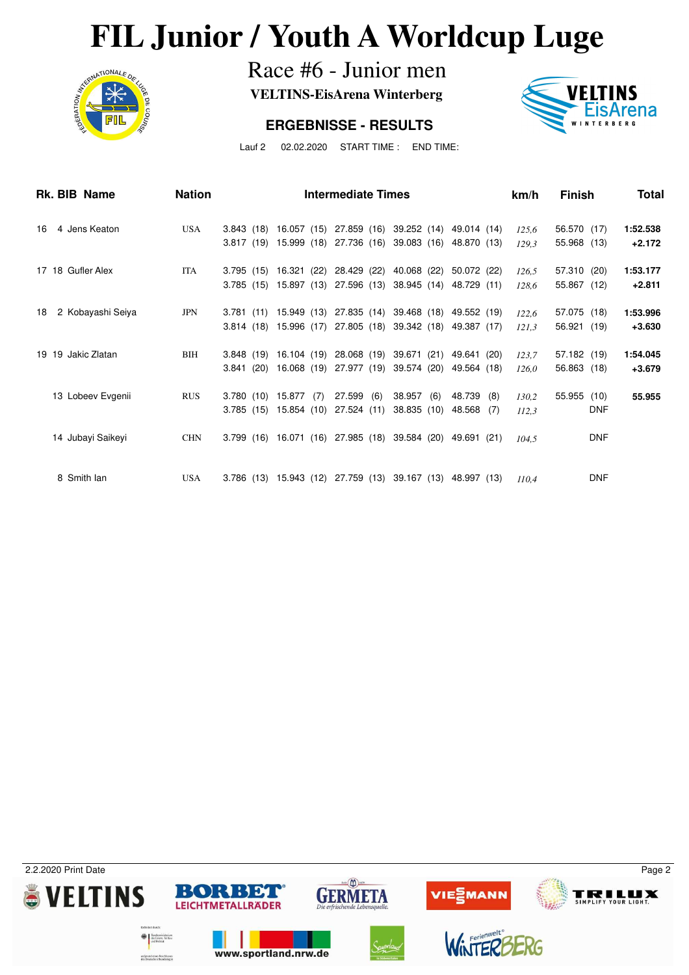# **FIL Junior / Youth A Worldcup Luge**<br>Race #6 - Junior men<br>VELTINS-EisArena Winterberg



Race #6 - Junior men

**VELTINS-EisArena Winterberg**

### **ERGEBNISSE - RESULTS**



Lauf 2 02.02.2020 START TIME : END TIME:

| Rk. BIB Name            | <b>Nation</b> |            |                        | <b>Intermediate Times</b>                                  |                                     |               | km/h  | <b>Finish</b> | Total    |
|-------------------------|---------------|------------|------------------------|------------------------------------------------------------|-------------------------------------|---------------|-------|---------------|----------|
| 4 Jens Keaton<br>16     | <b>USA</b>    | 3.843 (18) | 16.057 (15)            | 27.859 (16)                                                | 39.252 (14)                         | 49.014 (14)   | 125.6 | 56.570 (17)   | 1:52.538 |
|                         |               |            | 3.817 (19) 15.999 (18) | 27.736 (16)                                                | 39.083 (16)                         | 48.870 (13)   | 129.3 | 55.968 (13)   | $+2.172$ |
| 17 18 Gufler Alex       | <b>ITA</b>    |            | 3.795 (15) 16.321 (22) | 28.429 (22)                                                | 40.068 (22)                         | 50.072 (22)   | 126,5 | 57.310 (20)   | 1:53.177 |
|                         |               |            |                        | 3.785 (15) 15.897 (13) 27.596 (13) 38.945 (14)             |                                     | 48.729 (11)   | 128.6 | 55.867 (12)   | $+2.811$ |
| 2 Kobayashi Seiya<br>18 | <b>JPN</b>    |            |                        | 3.781 (11) 15.949 (13) 27.835 (14) 39.468 (18)             |                                     | 49.552 (19)   | 122,6 | 57.075 (18)   | 1:53.996 |
|                         |               |            | 3.814 (18) 15.996 (17) |                                                            | 27.805 (18) 39.342 (18) 49.387 (17) |               | 121,3 | 56.921 (19)   | $+3.630$ |
| 19 19 Jakic Zlatan      | BIH           | 3.848(19)  | 16.104 (19)            | 28.068 (19) 39.671 (21)                                    |                                     | 49.641 (20)   | 123,7 | 57.182 (19)   | 1:54.045 |
|                         |               | 3.841(20)  | 16.068 (19)            | 27.977 (19) 39.574 (20)                                    |                                     | 49.564 (18)   | 126.0 | 56.863 (18)   | $+3.679$ |
| 13 Lobeev Evgenii       | <b>RUS</b>    |            | 3.780 (10) 15.877 (7)  | 27.599 (6)                                                 | 38.957<br>(6)                       | 48.739<br>(8) | 130,2 | 55.955 (10)   | 55.955   |
|                         |               |            | 3.785 (15) 15.854 (10) | 27.524 (11)                                                | 38.835 (10)                         | 48.568<br>(7) | 112.3 | <b>DNF</b>    |          |
| 14 Jubayi Saikeyi       | <b>CHN</b>    |            |                        | 3.799 (16) 16.071 (16) 27.985 (18)                         | 39.584 (20)                         | 49.691 (21)   | 104.5 | <b>DNF</b>    |          |
| 8 Smith lan             | <b>USA</b>    |            |                        | 3.786 (13) 15.943 (12) 27.759 (13) 39.167 (13) 48.997 (13) |                                     |               | 110.4 | <b>DNF</b>    |          |

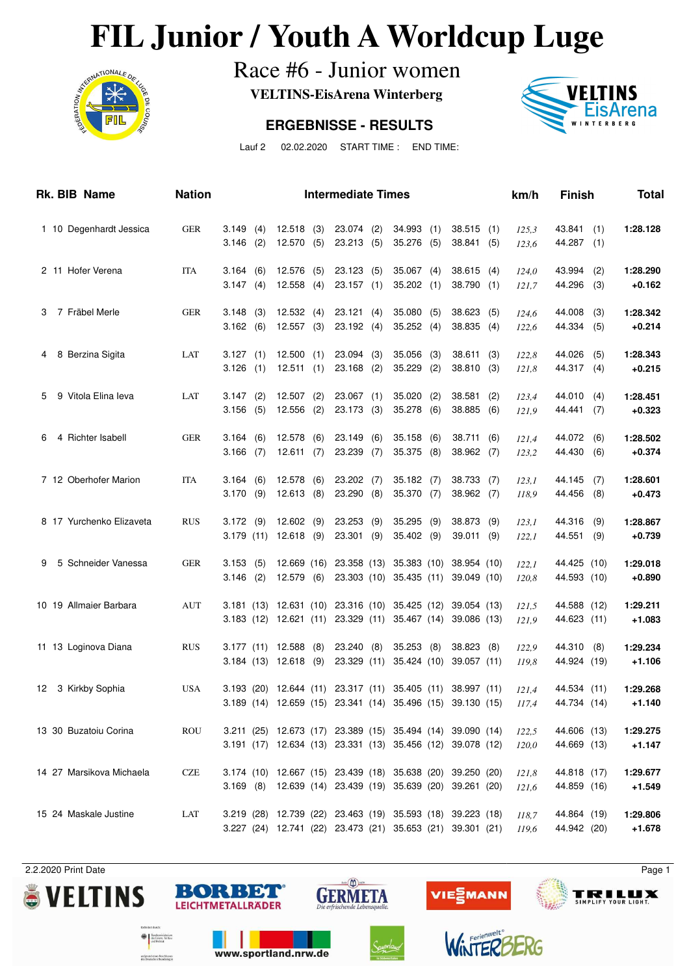# **FIL Junior / Youth A Worldcup Luge**<br>Race #6 - Junior women<br>VELTINS-EisArena Winterberg



Race #6 - Junior women

**VELTINS-EisArena Winterberg**

### **ERGEBNISSE - RESULTS**



Lauf 2 02.02.2020 START TIME : END TIME:

|    |   | Rk. BIB Name             | <b>Nation</b> |                    |            |                             |             | <b>Intermediate Times</b>                         |            |                                                                                                                          |            |                            |            | km/h           | <b>Finish</b>              |            | <b>Total</b>         |
|----|---|--------------------------|---------------|--------------------|------------|-----------------------------|-------------|---------------------------------------------------|------------|--------------------------------------------------------------------------------------------------------------------------|------------|----------------------------|------------|----------------|----------------------------|------------|----------------------|
|    |   | 1 10 Degenhardt Jessica  | <b>GER</b>    | 3.149<br>3.146     | (4)<br>(2) | 12.518(3)<br>12.570         | (5)         | 23.074 (2)<br>23.213(5)                           |            | 34.993<br>35.276                                                                                                         | (1)<br>(5) | 38.515(1)<br>38.841        | (5)        | 125,3<br>123,6 | 43.841<br>44.287           | (1)<br>(1) | 1:28.128             |
|    |   | 2 11 Hofer Verena        | <b>ITA</b>    | 3.164<br>3.147     | (6)<br>(4) | 12.576<br>12.558            | (5)<br>(4)  | 23.123(5)<br>23.157(1)                            |            | 35.067<br>35.202                                                                                                         | (4)<br>(1) | 38.615(4)<br>38.790        | (1)        | 124,0<br>121,7 | 43.994<br>44.296           | (2)<br>(3) | 1:28.290<br>$+0.162$ |
| 3  |   | 7 Fräbel Merle           | <b>GER</b>    | 3.148<br>3.162     | (3)<br>(6) | 12.532<br>12.557            | (4)<br>(3)  | 23.121(4)<br>23.192(4)                            |            | 35.080<br>35.252                                                                                                         | (5)<br>(4) | 38.623<br>38.835 (4)       | (5)        | 124,6<br>122,6 | 44.008<br>44.334           | (3)<br>(5) | 1:28.342<br>$+0.214$ |
| 4  | 8 | Berzina Sigita           | LAT           | 3.127<br>3.126     | (1)<br>(1) | 12.500<br>12.511            | (1)<br>(1)  | 23.094<br>23.168                                  | (3)<br>(2) | 35.056<br>35.229                                                                                                         | (3)<br>(2) | 38.611<br>38.810 (3)       | (3)        | 122,8<br>121,8 | 44.026<br>44.317           | (5)<br>(4) | 1:28.343<br>$+0.215$ |
| 5  |   | 9 Vitola Elina leva      | LAT           | 3.147<br>3.156     | (2)<br>(5) | 12.507<br>12.556            | (2)<br>(2)  | 23.067<br>23.173                                  | (1)<br>(3) | 35.020<br>35.278                                                                                                         | (2)<br>(6) | 38.581<br>38.885           | (2)<br>(6) | 123,4<br>121,9 | 44.010<br>44.441           | (4)<br>(7) | 1:28.451<br>$+0.323$ |
| 6  |   | 4 Richter Isabell        | <b>GER</b>    | 3.164<br>3.166     | (6)<br>(7) | 12.578<br>12.611            | (6)<br>(7)  | 23.149<br>23.239                                  | (6)<br>(7) | 35.158<br>35.375                                                                                                         | (6)<br>(8) | 38.711<br>38.962 (7)       | (6)        | 121,4<br>123,2 | 44.072<br>44.430           | (6)<br>(6) | 1:28.502<br>$+0.374$ |
|    |   | 7 12 Oberhofer Marion    | <b>ITA</b>    | 3.164<br>3.170     | (6)<br>(9) | 12.578<br>12.613            | (6)<br>(8)  | 23.202<br>23.290                                  | (7)<br>(8) | 35.182<br>35.370                                                                                                         | (7)<br>(7) | 38.733<br>38.962 (7)       | (7)        | 123,1<br>118,9 | 44.145<br>44.456           | (7)<br>(8) | 1:28.601<br>$+0.473$ |
|    |   | 8 17 Yurchenko Elizaveta | <b>RUS</b>    | 3.172<br>3.179(11) | (9)        | 12.602<br>12.618            | (9)<br>(9)  | 23.253<br>23.301                                  | (9)<br>(9) | 35.295<br>35.402                                                                                                         | (9)<br>(9) | 38.873<br>39.011 (9)       | (9)        | 123,1<br>122,1 | 44.316<br>44.551           | (9)<br>(9) | 1:28.867<br>$+0.739$ |
| 9  |   | 5 Schneider Vanessa      | <b>GER</b>    | 3.153<br>3.146     | (5)<br>(2) | 12.669<br>12.579            | (16)<br>(6) | 23.358 (13)<br>23.303 (10)                        |            | 35.383 (10)<br>35.435 (11)                                                                                               |            | 38.954 (10)<br>39.049 (10) |            | 122,1<br>120,8 | 44.425 (10)<br>44.593 (10) |            | 1:29.018<br>$+0.890$ |
|    |   | 10 19 Allmaier Barbara   | <b>AUT</b>    |                    |            | $3.181(13)$ 12.631 (10)     |             | 23.316 (10)<br>3.183 (12) 12.621 (11) 23.329 (11) |            | 35.425 (12)<br>35.467 (14)                                                                                               |            | 39.054 (13)<br>39.086 (13) |            | 121,5<br>121,9 | 44.588 (12)<br>44.623 (11) |            | 1:29.211<br>$+1.083$ |
|    |   | 11 13 Loginova Diana     | <b>RUS</b>    | 3.177(11)          |            | 12.588<br>3.184 (13) 12.618 | (8)<br>(9)  | 23.240<br>23.329 (11)                             | (8)        | 35.253<br>35.424 (10)                                                                                                    | (8)        | 38.823<br>39.057 (11)      | (8)        | 122,9<br>119,8 | 44.310<br>44.924 (19)      | (8)        | 1:29.234<br>$+1.106$ |
| 12 |   | 3 Kirkby Sophia          | <b>USA</b>    |                    |            |                             |             | 3.193 (20) 12.644 (11) 23.317 (11)                |            | 3.189 (14) 12.659 (15) 23.341 (14) 35.496 (15) 39.130 (15)                                                               |            | 35.405 (11) 38.997 (11)    |            | 121,4<br>117,4 | 44.534 (11)<br>44.734 (14) |            | 1:29.268<br>$+1.140$ |
|    |   | 13 30 Buzatoiu Corina    | <b>ROU</b>    |                    |            |                             |             |                                                   |            | 3.211 (25) 12.673 (17) 23.389 (15) 35.494 (14) 39.090 (14)<br>3.191 (17) 12.634 (13) 23.331 (13) 35.456 (12) 39.078 (12) |            |                            |            | 122,5<br>120,0 | 44.606 (13)<br>44.669 (13) |            | 1:29.275<br>$+1.147$ |
|    |   | 14 27 Marsikova Michaela | <b>CZE</b>    |                    |            |                             |             |                                                   |            | 3.174 (10) 12.667 (15) 23.439 (18) 35.638 (20) 39.250 (20)<br>3.169 (8) 12.639 (14) 23.439 (19) 35.639 (20) 39.261 (20)  |            |                            |            | 121,8<br>121,6 | 44.818 (17)<br>44.859 (16) |            | 1:29.677<br>$+1.549$ |
|    |   | 15 24 Maskale Justine    | LAT           |                    |            |                             |             |                                                   |            | 3.219 (28) 12.739 (22) 23.463 (19) 35.593 (18) 39.223 (18)<br>3.227 (24) 12.741 (22) 23.473 (21) 35.653 (21) 39.301 (21) |            |                            |            | 118,7<br>119,6 | 44.864 (19)<br>44.942 (20) |            | 1:29.806<br>$+1.678$ |









VIE EMANN



www.sportland.nrw.de

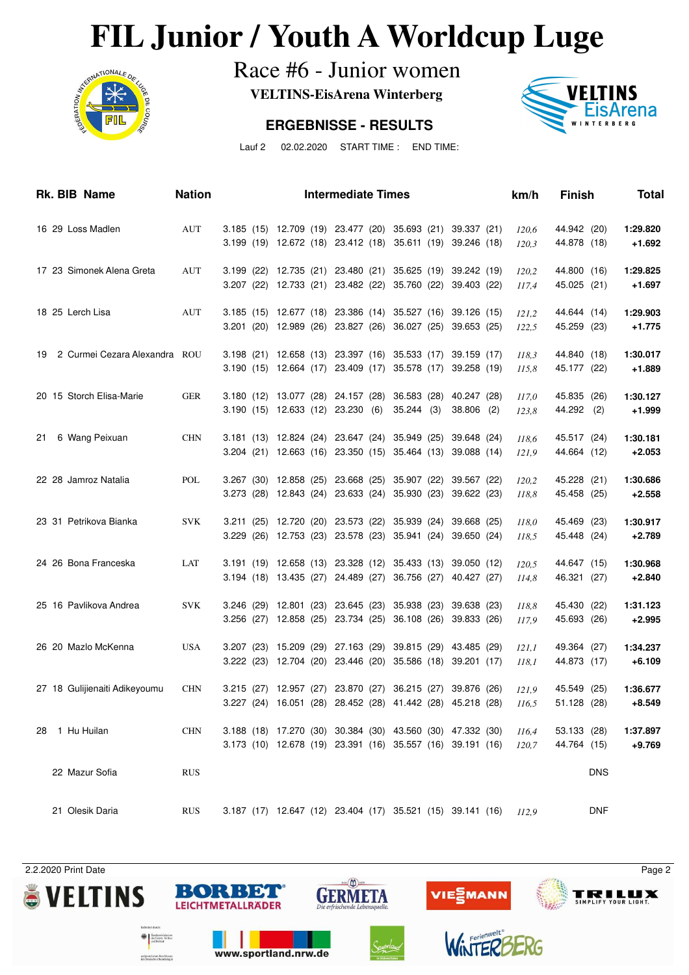# **FIL Junior / Youth A Worldcup Luge**<br>Race #6 - Junior women<br>VELTINS-EisArena Winterberg



Race #6 - Junior women

**VELTINS-EisArena Winterberg**

### **ERGEBNISSE - RESULTS**



Lauf 2 02.02.2020 START TIME : END TIME:

| Rk. BIB Name                        | <b>Nation</b> |                                   | <b>Intermediate Times</b>                                                                        |                                                                                                                          |                            | km/h           | <b>Finish</b>              | <b>Total</b>         |
|-------------------------------------|---------------|-----------------------------------|--------------------------------------------------------------------------------------------------|--------------------------------------------------------------------------------------------------------------------------|----------------------------|----------------|----------------------------|----------------------|
| 16 29 Loss Madlen                   | <b>AUT</b>    |                                   |                                                                                                  | 3.185 (15) 12.709 (19) 23.477 (20) 35.693 (21) 39.337 (21)<br>3.199 (19) 12.672 (18) 23.412 (18) 35.611 (19) 39.246 (18) |                            | 120,6<br>120,3 | 44.942 (20)<br>44.878 (18) | 1:29.820<br>+1.692   |
| 17 23 Simonek Alena Greta           | <b>AUT</b>    |                                   |                                                                                                  | 3.199 (22) 12.735 (21) 23.480 (21) 35.625 (19) 39.242 (19)<br>3.207 (22) 12.733 (21) 23.482 (22) 35.760 (22)             | 39.403 (22)                | 120,2<br>117,4 | 44.800 (16)<br>45.025 (21) | 1:29.825<br>+1.697   |
| 18 25 Lerch Lisa                    | AUT           |                                   | 3.185 (15) 12.677 (18) 23.386 (14) 35.527 (16)<br>3.201 (20) 12.989 (26) 23.827 (26) 36.027 (25) |                                                                                                                          | 39.126 (15)<br>39.653 (25) | 121,2<br>122,5 | 44.644 (14)<br>45.259 (23) | 1:29.903<br>$+1.775$ |
| 2 Curmei Cezara Alexandra ROU<br>19 |               |                                   | 3.198 (21) 12.658 (13) 23.397 (16) 35.533 (17)                                                   | 3.190 (15) 12.664 (17) 23.409 (17) 35.578 (17)                                                                           | 39.159 (17)<br>39.258 (19) | 118.3<br>115,8 | 44.840 (18)<br>45.177 (22) | 1:30.017<br>+1.889   |
| 20 15 Storch Elisa-Marie            | <b>GER</b>    | 3.190 (15) 12.633 (12) 23.230 (6) | 3.180 (12) 13.077 (28) 24.157 (28) 36.583 (28)                                                   | $35.244$ (3)                                                                                                             | 40.247 (28)<br>38.806 (2)  | 117,0<br>123,8 | 45.835 (26)<br>44.292 (2)  | 1:30.127<br>+1.999   |
| 6 Wang Peixuan<br>21                | <b>CHN</b>    |                                   | 3.181 (13) 12.824 (24) 23.647 (24) 35.949 (25)                                                   | 3.204 (21) 12.663 (16) 23.350 (15) 35.464 (13)                                                                           | 39.648 (24)<br>39.088 (14) | 118,6<br>121,9 | 45.517 (24)<br>44.664 (12) | 1:30.181<br>$+2.053$ |
| 22 28 Jamroz Natalia                | POL           |                                   | 3.267 (30) 12.858 (25) 23.668 (25) 35.907 (22)<br>3.273 (28) 12.843 (24) 23.633 (24) 35.930 (23) |                                                                                                                          | 39.567 (22)<br>39.622 (23) | 120,2<br>118,8 | 45.228 (21)<br>45.458 (25) | 1:30.686<br>$+2.558$ |
| 23 31 Petrikova Bianka              | <b>SVK</b>    |                                   |                                                                                                  | 3.211 (25) 12.720 (20) 23.573 (22) 35.939 (24) 39.668 (25)<br>3.229 (26) 12.753 (23) 23.578 (23) 35.941 (24)             | 39.650 (24)                | 118,0<br>118,5 | 45.469 (23)<br>45.448 (24) | 1:30.917<br>$+2.789$ |
| 24 26 Bona Franceska                | LAT           |                                   |                                                                                                  | 3.191 (19) 12.658 (13) 23.328 (12) 35.433 (13) 39.050 (12)<br>3.194 (18) 13.435 (27) 24.489 (27) 36.756 (27) 40.427 (27) |                            | 120,5<br>114,8 | 44.647 (15)<br>46.321 (27) | 1:30.968<br>$+2.840$ |
| 25 16 Pavlikova Andrea              | <b>SVK</b>    |                                   | 3.256 (27) 12.858 (25) 23.734 (25) 36.108 (26)                                                   | 3.246 (29) 12.801 (23) 23.645 (23) 35.938 (23)                                                                           | 39.638 (23)<br>39.833 (26) | 118,8<br>117,9 | 45.430 (22)<br>45.693 (26) | 1:31.123<br>$+2.995$ |
| 26 20 Mazlo McKenna                 | <b>USA</b>    |                                   |                                                                                                  | 3.207 (23) 15.209 (29) 27.163 (29) 39.815 (29) 43.485 (29)<br>3.222 (23) 12.704 (20) 23.446 (20) 35.586 (18)             | 39.201 (17)                | 121,1<br>118,1 | 49.364 (27)<br>44.873 (17) | 1:34.237<br>$+6.109$ |
| 27 18 Gulijienaiti Adikeyoumu       | <b>CHN</b>    |                                   |                                                                                                  | 3.215 (27) 12.957 (27) 23.870 (27) 36.215 (27) 39.876 (26)<br>3.227 (24) 16.051 (28) 28.452 (28) 41.442 (28) 45.218 (28) |                            | 121.9<br>116,5 | 45.549 (25)<br>51.128 (28) | 1:36.677<br>$+8.549$ |
| 28 1 Hu Huilan                      | CHN           |                                   |                                                                                                  | 3.188 (18) 17.270 (30) 30.384 (30) 43.560 (30) 47.332 (30)<br>3.173 (10) 12.678 (19) 23.391 (16) 35.557 (16) 39.191 (16) |                            | 116,4<br>120,7 | 53.133 (28)<br>44.764 (15) | 1:37.897<br>$+9.769$ |
| 22 Mazur Sofia                      | <b>RUS</b>    |                                   |                                                                                                  |                                                                                                                          |                            |                | <b>DNS</b>                 |                      |
| 21 Olesik Daria                     | <b>RUS</b>    |                                   |                                                                                                  | 3.187 (17) 12.647 (12) 23.404 (17) 35.521 (15) 39.141 (16)                                                               |                            | 112,9          | <b>DNF</b>                 |                      |

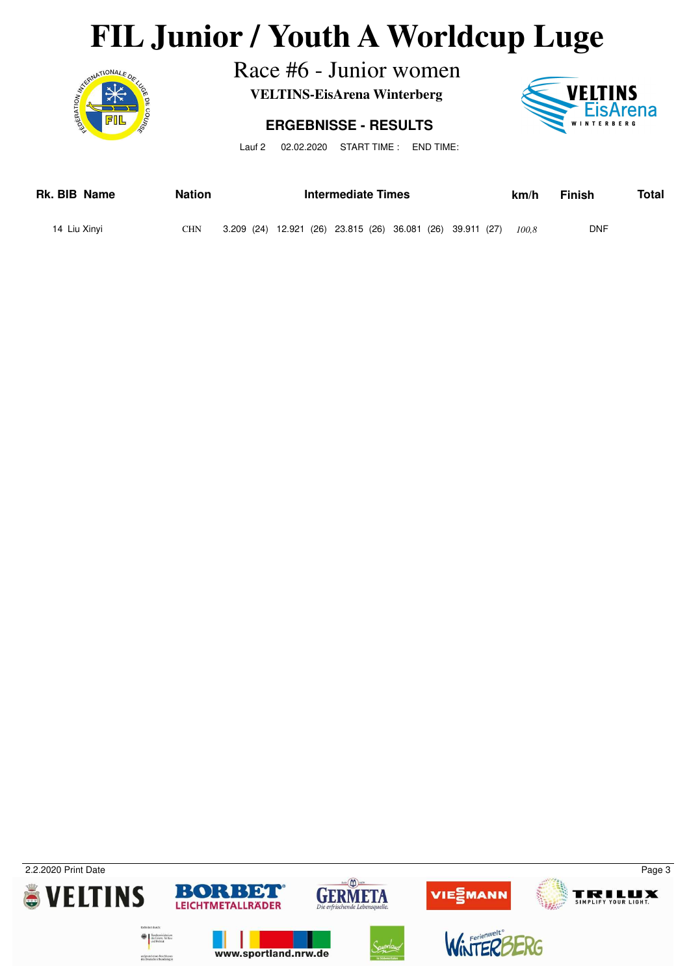# **FIL Junior / Youth A Worldcup Luge**<br>Race #6 - Junior women<br>VELTINS-EisArena Winterberg



Race #6 - Junior women

**VELTINS-EisArena Winterberg**

### **ERGEBNISSE - RESULTS**



Lauf 2 02.02.2020 START TIME : END TIME:

| Rk. BIB Name | <b>Nation</b> |  | Intermediate Times | km/h | <b>Finish</b> | Total                                                      |       |            |  |
|--------------|---------------|--|--------------------|------|---------------|------------------------------------------------------------|-------|------------|--|
| 14 Liu Xinvi | CHN           |  |                    |      |               | 3.209 (24) 12.921 (26) 23.815 (26) 36.081 (26) 39.911 (27) | 100.8 | <b>DNF</b> |  |

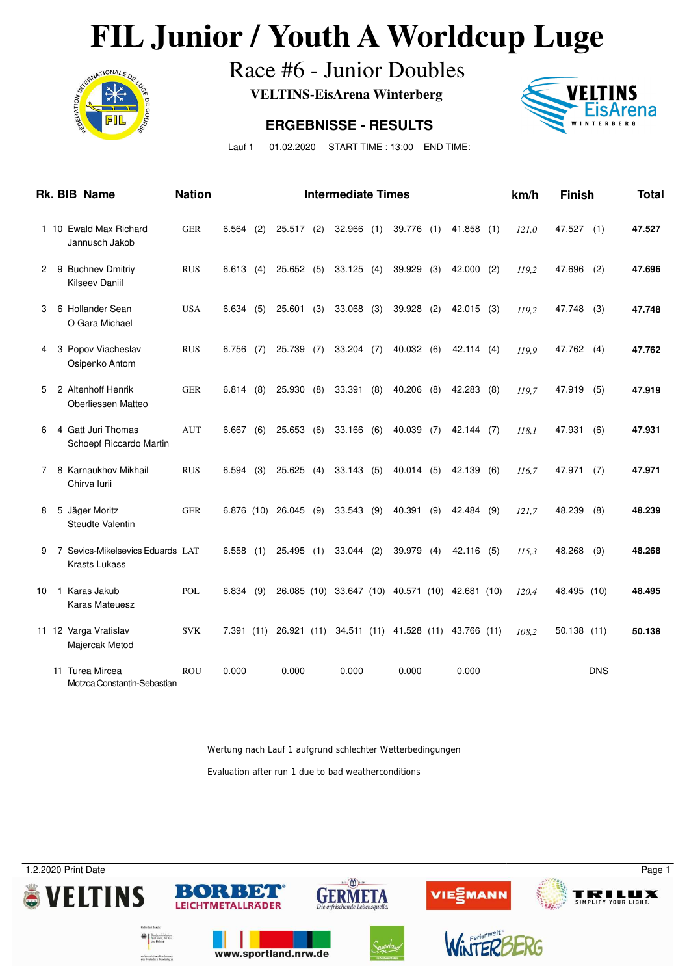### **FIL Junior / Youth A Worldcup Luge**<br>Race #6 - Junior Doubles



Race #6 - Junior Doubles

**VELTINS-EisArena Winterberg**

### **ERGEBNISSE - RESULTS**



Lauf 1 01.02.2020 START TIME : 13:00 END TIME:

|                | Rk. BIB Name                                             | <b>Nation</b> |          |     |                       |     | <b>Intermediate Times</b> |     |            |     |                                                            |     | km/h  | <b>Finish</b> |            | <b>Total</b> |
|----------------|----------------------------------------------------------|---------------|----------|-----|-----------------------|-----|---------------------------|-----|------------|-----|------------------------------------------------------------|-----|-------|---------------|------------|--------------|
|                | 1 10 Ewald Max Richard<br>Jannusch Jakob                 | <b>GER</b>    | 6.564    | (2) | $25.517$ (2)          |     | $32.966$ (1)              |     | 39.776     | (1) | 41.858 (1)                                                 |     | 121,0 | 47.527        | (1)        | 47.527       |
| $\overline{2}$ | 9 Buchnev Dmitriy<br><b>Kilseev Daniil</b>               | <b>RUS</b>    | 6.613    | (4) | 25.652(5)             |     | $33.125$ (4)              |     | 39.929     | (3) | $42.000$ (2)                                               |     | 119,2 | 47.696        | (2)        | 47.696       |
| 3              | 6 Hollander Sean<br>O Gara Michael                       | <b>USA</b>    | 6.634    | (5) | 25.601                | (3) | 33.068                    | (3) | 39.928     | (2) | 42.015 (3)                                                 |     | 119.2 | 47.748        | (3)        | 47.748       |
| 4              | 3 Popov Viacheslav<br>Osipenko Antom                     | <b>RUS</b>    | 6.756    | (7) | 25.739                | (7) | 33.204 (7)                |     | 40.032     | (6) | 42.114 (4)                                                 |     | 119,9 | 47.762        | (4)        | 47.762       |
| 5              | 2 Altenhoff Henrik<br>Oberliessen Matteo                 | <b>GER</b>    | 6.814    | (8) | 25.930                | (8) | 33.391                    | (8) | 40.206     | (8) | 42.283                                                     | (8) | 119,7 | 47.919        | (5)        | 47.919       |
| 6              | 4 Gatt Juri Thomas<br>Schoepf Riccardo Martin            | <b>AUT</b>    | 6.667    | (6) | 25.653                | (6) | $33.166$ (6)              |     | 40.039     | (7) | 42.144 (7)                                                 |     | 118.1 | 47.931        | (6)        | 47.931       |
| 7              | 8 Karnaukhov Mikhail<br>Chirva Iurii                     | <b>RUS</b>    | 6.594    | (3) | 25.625                | (4) | 33.143(5)                 |     | 40.014 (5) |     | 42.139                                                     | (6) | 116.7 | 47.971        | (7)        | 47.971       |
| 8              | 5 Jäger Moritz<br>Steudte Valentin                       | <b>GER</b>    |          |     | 6.876 (10) 26.045 (9) |     | $33.543$ (9)              |     | 40.391     | (9) | 42.484                                                     | (9) | 121,7 | 48.239        | (8)        | 48.239       |
| 9              | 7 Sevics-Mikelsevics Eduards LAT<br><b>Krasts Lukass</b> |               | 6.558    | (1) | 25.495(1)             |     | $33.044$ (2)              |     | 39.979 (4) |     | 42.116 (5)                                                 |     | 115,3 | 48.268        | (9)        | 48.268       |
| 10             | 1 Karas Jakub<br><b>Karas Mateuesz</b>                   | POL           | 6.834(9) |     |                       |     |                           |     |            |     | 26.085 (10) 33.647 (10) 40.571 (10) 42.681 (10)            |     | 120,4 | 48.495 (10)   |            | 48.495       |
|                | 11 12 Varga Vratislav<br>Majercak Metod                  | <b>SVK</b>    |          |     |                       |     |                           |     |            |     | 7.391 (11) 26.921 (11) 34.511 (11) 41.528 (11) 43.766 (11) |     | 108.2 | 50.138(11)    |            | 50.138       |
|                | 11 Turea Mircea<br>Motzca Constantin-Sebastian           | ROU           | 0.000    |     | 0.000                 |     | 0.000                     |     | 0.000      |     | 0.000                                                      |     |       |               | <b>DNS</b> |              |

Wertung nach Lauf 1 aufgrund schlechter Wetterbedingungen

Evaluation after run 1 due to bad weatherconditions

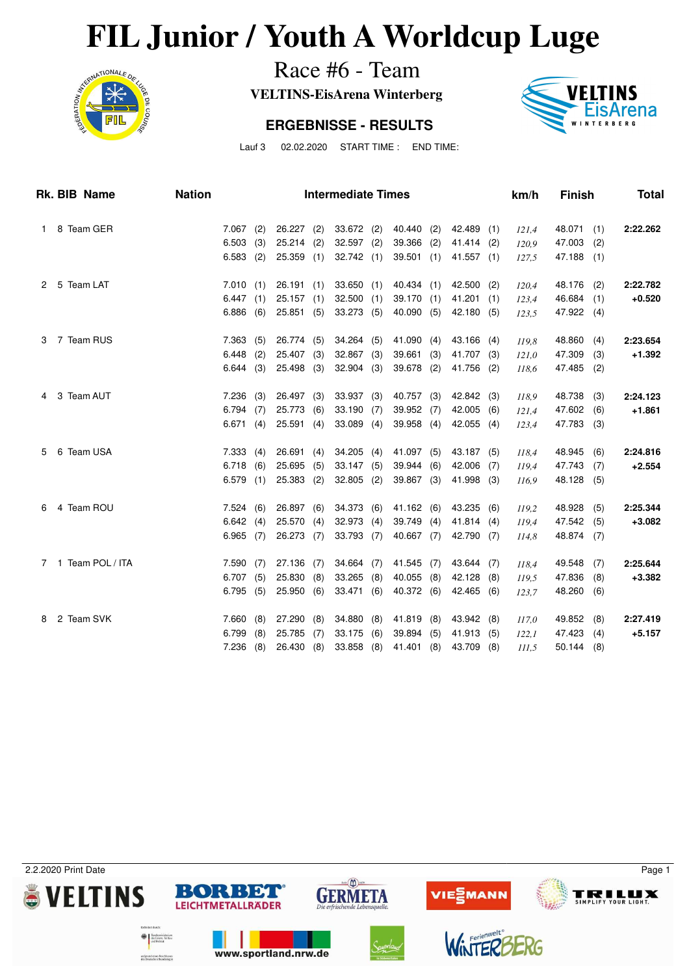### **FIL Junior / Youth A Worldcup Luge**<br>Race #6 - Team<br>VELTINS-EisArena Winterberg and Team



Race #6 - Team

**VELTINS-EisArena Winterberg**

### **ERGEBNISSE - RESULTS**



Lauf 3 02.02.2020 START TIME : END TIME:

|              | <b>Rk. BIB Name</b> | <b>Nation</b> |             |     |            |     | <b>Intermediate Times</b> |     |            |     |              |     | km/h  | <b>Finish</b> |     | Total    |
|--------------|---------------------|---------------|-------------|-----|------------|-----|---------------------------|-----|------------|-----|--------------|-----|-------|---------------|-----|----------|
| $\mathbf{1}$ | 8 Team GER          |               | 7.067       | (2) | 26.227     | (2) | 33.672 (2)                |     | 40.440     | (2) | 42.489       | (1) | 121,4 | 48.071        | (1) | 2:22.262 |
|              |                     |               | 6.503       | (3) | 25.214     | (2) | $32.597$ (2)              |     | 39.366     | (2) | 41.414       | (2) | 120,9 | 47.003        | (2) |          |
|              |                     |               | $6.583$ (2) |     | 25.359(1)  |     | 32.742(1)                 |     | 39.501     | (1) | 41.557(1)    |     | 127,5 | 47.188        | (1) |          |
| 2            | 5 Team LAT          |               | 7.010(1)    |     | 26.191     | (1) | 33.650(1)                 |     | 40.434     | (1) | 42.500       | (2) | 120,4 | 48.176        | (2) | 2:22.782 |
|              |                     |               | 6.447(1)    |     | 25.157     | (1) | 32.500                    | (1) | 39.170     | (1) | 41.201       | (1) | 123,4 | 46.684(1)     |     | $+0.520$ |
|              |                     |               | 6.886       | (6) | 25.851     | (5) | $33.273$ (5)              |     | 40.090     | (5) | 42.180 (5)   |     | 123,5 | 47.922 (4)    |     |          |
|              | 3 7 Team RUS        |               | 7.363       | (5) | 26.774     | (5) | 34.264                    | (5) | 41.090     | (4) | 43.166       | (4) | 119.8 | 48.860        | (4) | 2:23.654 |
|              |                     |               | 6.448       | (2) | 25.407     | (3) | 32.867                    | (3) | 39.661     | (3) | 41.707       | (3) | 121,0 | 47.309        | (3) | $+1.392$ |
|              |                     |               | 6.644(3)    |     | 25.498     | (3) | $32.904$ (3)              |     | 39.678     | (2) | 41.756 (2)   |     | 118,6 | 47.485        | (2) |          |
|              | 4 3 Team AUT        |               | 7.236       | (3) | 26.497     | (3) | 33.937 (3)                |     | 40.757     | (3) | 42.842 (3)   |     | 118,9 | 48.738        | (3) | 2:24.123 |
|              |                     |               | 6.794       | (7) | 25.773     | (6) | 33.190                    | (7) | 39.952     | (7) | 42.005       | (6) | 121,4 | 47.602 (6)    |     | $+1.861$ |
|              |                     |               | 6.671(4)    |     | 25.591     | (4) | $33.089$ (4)              |     | 39.958     | (4) | $42.055$ (4) |     | 123,4 | 47.783 (3)    |     |          |
| 5            | 6 Team USA          |               | 7.333       | (4) | 26.691     | (4) | $34.205$ (4)              |     | 41.097 (5) |     | 43.187 (5)   |     | 118,4 | 48.945        | (6) | 2:24.816 |
|              |                     |               | 6.718       | (6) | 25.695     | (5) | 33.147(5)                 |     | 39.944     | (6) | 42.006       | (7) | 119,4 | 47.743        | (7) | $+2.554$ |
|              |                     |               | 6.579(1)    |     | 25.383     | (2) | $32.805$ (2)              |     | 39.867     | (3) | 41.998       | (3) | 116,9 | 48.128        | (5) |          |
| 6            | 4 Team ROU          |               | 7.524(6)    |     | 26.897     | (6) | 34.373 (6)                |     | 41.162(6)  |     | 43.235       | (6) | 119,2 | 48.928        | (5) | 2:25.344 |
|              |                     |               | 6.642(4)    |     | 25.570     | (4) | 32.973                    | (4) | 39.749     | (4) | 41.814       | (4) | 119,4 | 47.542 (5)    |     | $+3.082$ |
|              |                     |               | $6.965$ (7) |     | 26.273 (7) |     | 33.793 (7)                |     | 40.667 (7) |     | 42.790 (7)   |     | 114,8 | 48.874 (7)    |     |          |
|              | 7 1 Team POL / ITA  |               | 7.590       | (7) | 27.136     | (7) | 34.664 (7)                |     | 41.545 (7) |     | 43.644       | (7) | 118,4 | 49.548        | (7) | 2:25.644 |
|              |                     |               | 6.707       | (5) | 25.830     | (8) | 33.265                    | (8) | 40.055     | (8) | 42.128       | (8) | 119,5 | 47.836        | (8) | $+3.382$ |
|              |                     |               | 6.795(5)    |     | 25.950     | (6) | 33.471 (6)                |     | 40.372     | (6) | 42.465 (6)   |     | 123,7 | 48.260        | (6) |          |
| 8            | 2 Team SVK          |               | 7.660       | (8) | 27.290     | (8) | 34.880                    | (8) | 41.819     | (8) | 43.942       | (8) | 117,0 | 49.852        | (8) | 2:27.419 |
|              |                     |               | 6.799       | (8) | 25.785     | (7) | 33.175                    | (6) | 39.894     | (5) | 41.913       | (5) | 122,1 | 47.423        | (4) | $+5.157$ |
|              |                     |               | 7.236       | (8) | 26.430     | (8) | 33.858                    | (8) | 41.401     | (8) | 43.709       | (8) | 111,5 | 50.144        | (8) |          |